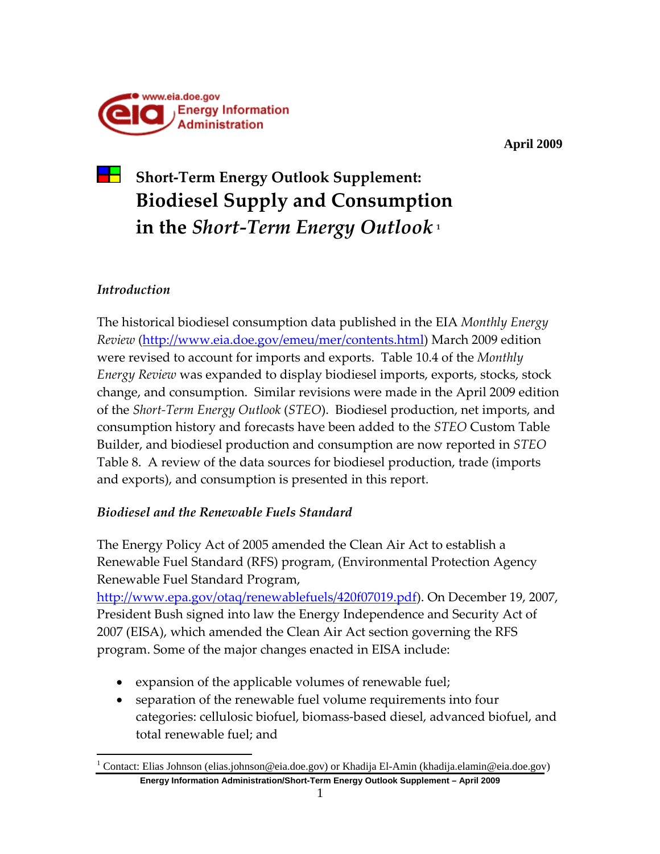

**April 2009** 

# **Short‐Term Energy Outlook Supplement: Biodiesel Supply and Consumption in the** *Short‐Term Energy Outlook* **<sup>1</sup>**

# *Introduction*

The historical biodiesel consumption data published in the EIA *Monthly Energy Review* (http://www.eia.doe.gov/emeu/mer/contents.html) March 2009 edition were revised to account for imports and exports. Table 10.4 of the *Monthly Energy Review* was expanded to display biodiesel imports, exports, stocks, stock change, and consumption. Similar revisions were made in the April 2009 edition of the *Short‐Term Energy Outlook* (*STEO*). Biodiesel production, net imports, and consumption history and forecasts have been added to the *STEO* Custom Table Builder, and biodiesel production and consumption are now reported in *STEO* Table 8. A review of the data sources for biodiesel production, trade (imports and exports), and consumption is presented in this report.

# *Biodiesel and the Renewable Fuels Standard*

The Energy Policy Act of 2005 amended the Clean Air Act to establish a Renewable Fuel Standard (RFS) program, (Environmental Protection Agency Renewable Fuel Standard Program,

http://www.epa.gov/otaq/renewablefuels/420f07019.pdf). On December 19, 2007, President Bush signed into law the Energy Independence and Security Act of 2007 (EISA), which amended the Clean Air Act section governing the RFS program. Some of the major changes enacted in EISA include:

- expansion of the applicable volumes of renewable fuel;
- separation of the renewable fuel volume requirements into four categories: cellulosic biofuel, biomass‐based diesel, advanced biofuel, and total renewable fuel; and

**Energy Information Administration/Short-Term Energy Outlook Supplement – April 2009**  1 1 Contact: Elias Johnson (elias.johnson@eia.doe.gov) or Khadija El-Amin (khadija.elamin@eia.doe.gov)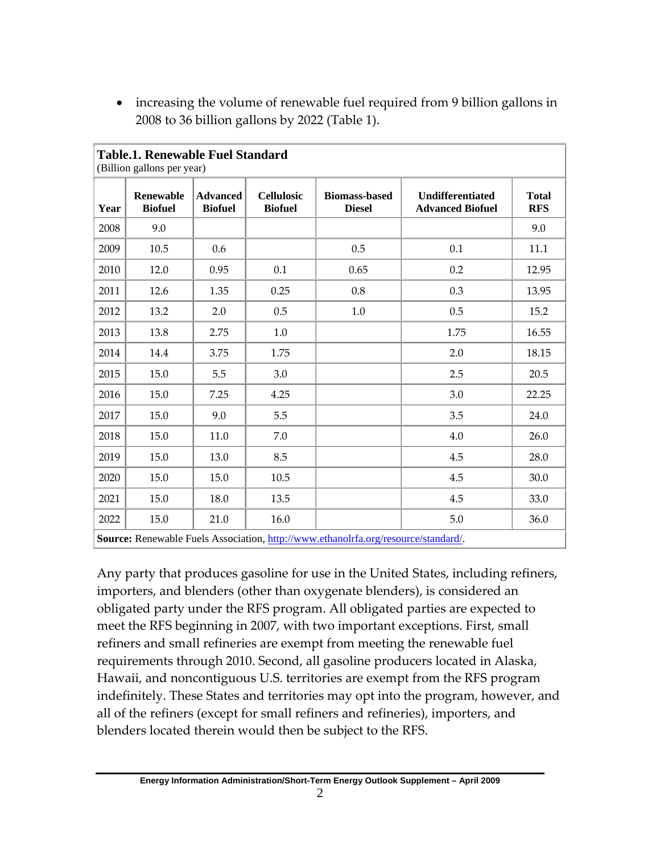| <b>Table.1. Renewable Fuel Standard</b><br>(Billion gallons per year)                   |                                    |                                   |                                     |                                       |                                                    |                            |
|-----------------------------------------------------------------------------------------|------------------------------------|-----------------------------------|-------------------------------------|---------------------------------------|----------------------------------------------------|----------------------------|
| Year                                                                                    | <b>Renewable</b><br><b>Biofuel</b> | <b>Advanced</b><br><b>Biofuel</b> | <b>Cellulosic</b><br><b>Biofuel</b> | <b>Biomass-based</b><br><b>Diesel</b> | <b>Undifferentiated</b><br><b>Advanced Biofuel</b> | <b>Total</b><br><b>RFS</b> |
| 2008                                                                                    | 9.0                                |                                   |                                     |                                       |                                                    | 9.0                        |
| 2009                                                                                    | 10.5                               | 0.6                               |                                     | 0.5                                   | 0.1                                                | 11.1                       |
| 2010                                                                                    | 12.0                               | 0.95                              | 0.1                                 | 0.65                                  | 0.2                                                | 12.95                      |
| 2011                                                                                    | 12.6                               | 1.35                              | 0.25                                | 0.8                                   | 0.3                                                | 13.95                      |
| 2012                                                                                    | 13.2                               | 2.0                               | 0.5                                 | 1.0                                   | 0.5                                                | 15.2                       |
| 2013                                                                                    | 13.8                               | 2.75                              | 1.0                                 |                                       | 1.75                                               | 16.55                      |
| 2014                                                                                    | 14.4                               | 3.75                              | 1.75                                |                                       | 2.0                                                | 18.15                      |
| 2015                                                                                    | 15.0                               | 5.5                               | 3.0                                 |                                       | 2.5                                                | 20.5                       |
| 2016                                                                                    | 15.0                               | 7.25                              | 4.25                                |                                       | 3.0                                                | 22.25                      |
| 2017                                                                                    | 15.0                               | 9.0                               | 5.5                                 |                                       | 3.5                                                | 24.0                       |
| 2018                                                                                    | 15.0                               | 11.0                              | 7.0                                 |                                       | 4.0                                                | 26.0                       |
| 2019                                                                                    | 15.0                               | 13.0                              | 8.5                                 |                                       | 4.5                                                | 28.0                       |
| 2020                                                                                    | 15.0                               | 15.0                              | 10.5                                |                                       | 4.5                                                | 30.0                       |
| 2021                                                                                    | 15.0                               | 18.0                              | 13.5                                |                                       | 4.5                                                | 33.0                       |
| 2022                                                                                    | 15.0                               | 21.0                              | 16.0                                |                                       | 5.0                                                | 36.0                       |
| <b>Source:</b> Renewable Fuels Association http://www.ethanolrfa.org/resource/standard/ |                                    |                                   |                                     |                                       |                                                    |                            |

• increasing the volume of renewable fuel required from 9 billion gallons in 2008 to 36 billion gallons by 2022 (Table 1).

**Source:** Renewable Fuels Association, http://www.ethanolrfa.org/resource/standard/.

Any party that produces gasoline for use in the United States, including refiners, importers, and blenders (other than oxygenate blenders), is considered an obligated party under the RFS program. All obligated parties are expected to meet the RFS beginning in 2007, with two important exceptions. First, small refiners and small refineries are exempt from meeting the renewable fuel requirements through 2010. Second, all gasoline producers located in Alaska, Hawaii, and noncontiguous U.S. territories are exempt from the RFS program indefinitely. These States and territories may opt into the program, however, and all of the refiners (except for small refiners and refineries), importers, and blenders located therein would then be subject to the RFS.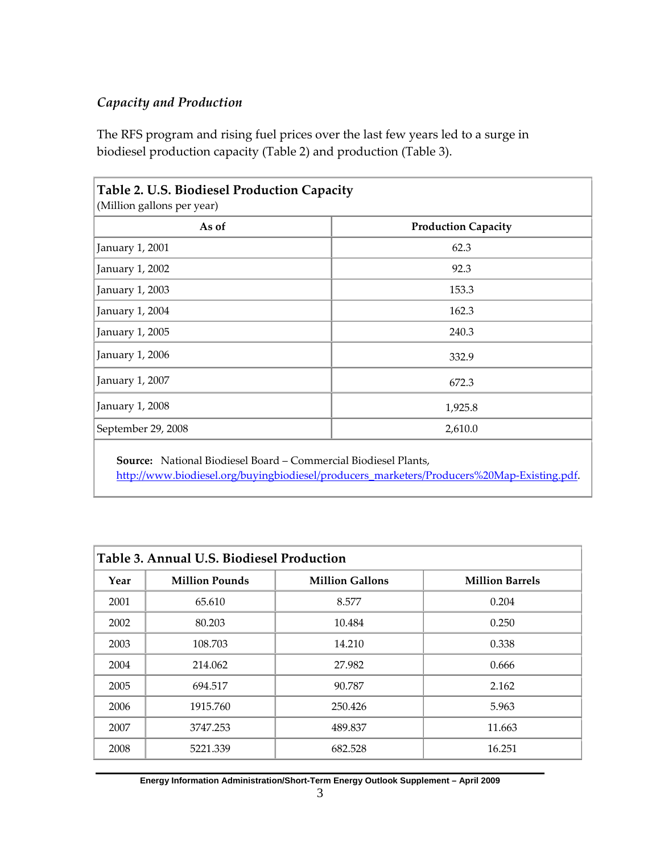## *Capacity and Production*

The RFS program and rising fuel prices over the last few years led to a surge in biodiesel production capacity (Table 2) and production (Table 3).

| As of              | <b>Production Capacity</b> |
|--------------------|----------------------------|
| January 1, 2001    | 62.3                       |
|                    |                            |
| January 1, 2002    | 92.3                       |
| January 1, 2003    | 153.3                      |
| January 1, 2004    | 162.3                      |
| January 1, 2005    | 240.3                      |
| January 1, 2006    | 332.9                      |
| January 1, 2007    | 672.3                      |
| January 1, 2008    | 1,925.8                    |
| September 29, 2008 | 2,610.0                    |

**Source:** National Biodiesel Board – Commercial Biodiesel Plants, http://www.biodiesel.org/buyingbiodiesel/producers\_marketers/Producers%20Map-Existing.pdf.

| Table 3. Annual U.S. Biodiesel Production |                       |                        |                        |  |  |
|-------------------------------------------|-----------------------|------------------------|------------------------|--|--|
| Year                                      | <b>Million Pounds</b> | <b>Million Gallons</b> | <b>Million Barrels</b> |  |  |
| 2001                                      | 65.610                | 8.577                  | 0.204                  |  |  |
| 2002                                      | 80.203                | 10.484                 | 0.250                  |  |  |
| 2003                                      | 108.703               | 14.210                 | 0.338                  |  |  |
| 2004                                      | 214.062               | 27.982                 | 0.666                  |  |  |
| 2005                                      | 694.517               | 90.787                 | 2.162                  |  |  |
| 2006                                      | 1915.760              | 250.426                | 5.963                  |  |  |
| 2007                                      | 3747.253              | 489.837                | 11.663                 |  |  |
| 2008                                      | 5221.339              | 682.528                | 16.251                 |  |  |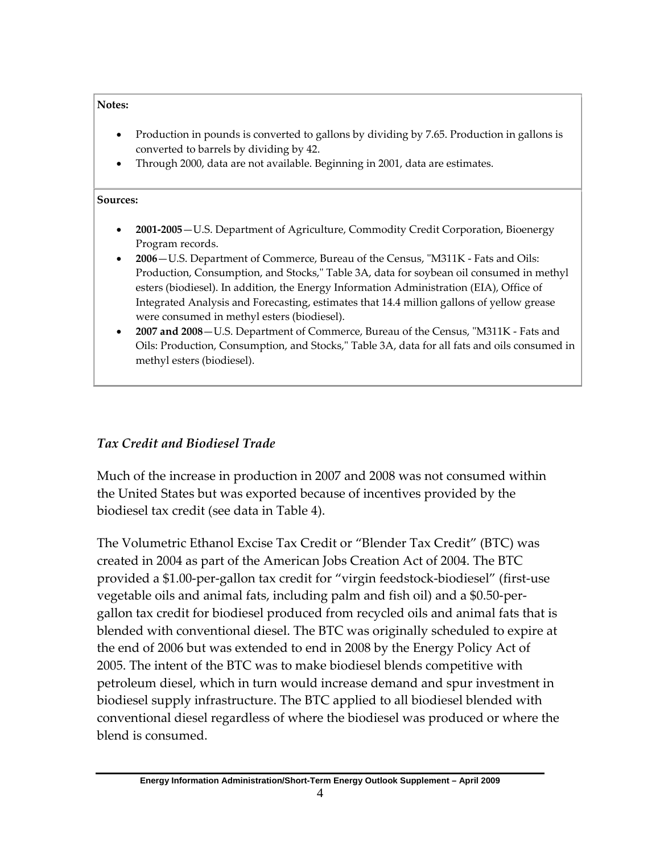#### **Notes:**

- Production in pounds is converted to gallons by dividing by 7.65. Production in gallons is converted to barrels by dividing by 42.
- Through 2000, data are not available. Beginning in 2001, data are estimates.

#### **Sources:**

- **2001‐2005**—U.S. Department of Agriculture, Commodity Credit Corporation, Bioenergy Program records.
- **2006**—U.S. Department of Commerce, Bureau of the Census, ʺM311K ‐ Fats and Oils: Production, Consumption, and Stocks," Table 3A, data for soybean oil consumed in methyl esters (biodiesel). In addition, the Energy Information Administration (EIA), Office of Integrated Analysis and Forecasting, estimates that 14.4 million gallons of yellow grease were consumed in methyl esters (biodiesel).
- **2007 and 2008**—U.S. Department of Commerce, Bureau of the Census, ʺM311K ‐ Fats and Oils: Production, Consumption, and Stocks," Table 3A, data for all fats and oils consumed in methyl esters (biodiesel).

## *Tax Credit and Biodiesel Trade*

Much of the increase in production in 2007 and 2008 was not consumed within the United States but was exported because of incentives provided by the biodiesel tax credit (see data in Table 4).

The Volumetric Ethanol Excise Tax Credit or "Blender Tax Credit" (BTC) was created in 2004 as part of the American Jobs Creation Act of 2004. The BTC provided a \$1.00‐per‐gallon tax credit for "virgin feedstock‐biodiesel" (first‐use vegetable oils and animal fats, including palm and fish oil) and a \$0.50‐per‐ gallon tax credit for biodiesel produced from recycled oils and animal fats that is blended with conventional diesel. The BTC was originally scheduled to expire at the end of 2006 but was extended to end in 2008 by the Energy Policy Act of 2005. The intent of the BTC was to make biodiesel blends competitive with petroleum diesel, which in turn would increase demand and spur investment in biodiesel supply infrastructure. The BTC applied to all biodiesel blended with conventional diesel regardless of where the biodiesel was produced or where the blend is consumed.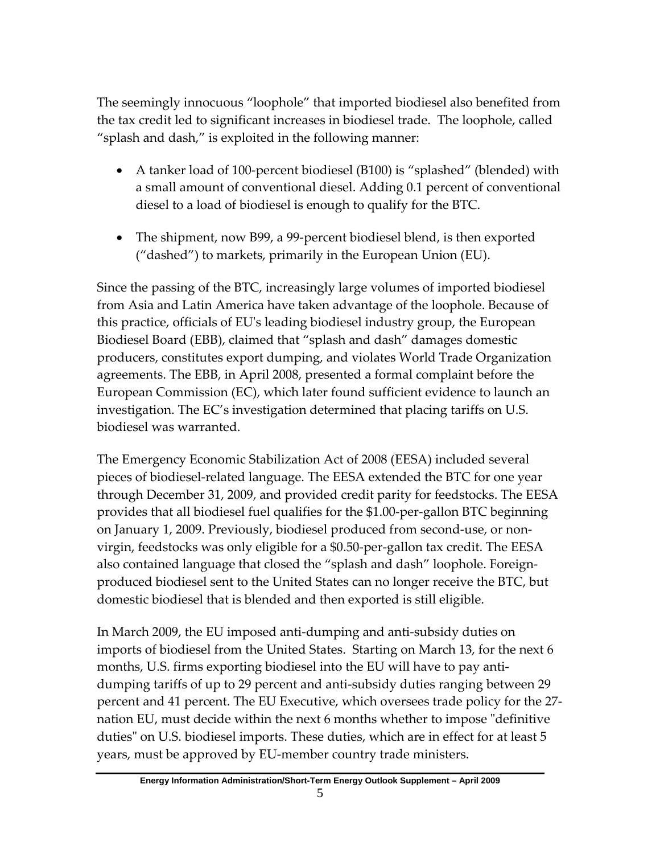The seemingly innocuous "loophole" that imported biodiesel also benefited from the tax credit led to significant increases in biodiesel trade. The loophole, called "splash and dash," is exploited in the following manner:

- A tanker load of 100-percent biodiesel (B100) is "splashed" (blended) with a small amount of conventional diesel. Adding 0.1 percent of conventional diesel to a load of biodiesel is enough to qualify for the BTC.
- The shipment, now B99, a 99-percent biodiesel blend, is then exported ("dashed") to markets, primarily in the European Union (EU).

Since the passing of the BTC, increasingly large volumes of imported biodiesel from Asia and Latin America have taken advantage of the loophole. Because of this practice, officials of EUʹs leading biodiesel industry group, the European Biodiesel Board (EBB), claimed that "splash and dash" damages domestic producers, constitutes export dumping, and violates World Trade Organization agreements. The EBB, in April 2008, presented a formal complaint before the European Commission (EC), which later found sufficient evidence to launch an investigation. The EC's investigation determined that placing tariffs on U.S. biodiesel was warranted.

The Emergency Economic Stabilization Act of 2008 (EESA) included several pieces of biodiesel‐related language. The EESA extended the BTC for one year through December 31, 2009, and provided credit parity for feedstocks. The EESA provides that all biodiesel fuel qualifies for the \$1.00‐per‐gallon BTC beginning on January 1, 2009. Previously, biodiesel produced from second‐use, or non‐ virgin, feedstocks was only eligible for a \$0.50‐per‐gallon tax credit. The EESA also contained language that closed the "splash and dash" loophole. Foreign‐ produced biodiesel sent to the United States can no longer receive the BTC, but domestic biodiesel that is blended and then exported is still eligible.

In March 2009, the EU imposed anti‐dumping and anti‐subsidy duties on imports of biodiesel from the United States. Starting on March 13, for the next 6 months, U.S. firms exporting biodiesel into the EU will have to pay anti‐ dumping tariffs of up to 29 percent and anti‐subsidy duties ranging between 29 percent and 41 percent. The EU Executive, which oversees trade policy for the 27‐ nation EU, must decide within the next 6 months whether to impose "definitive" duties" on U.S. biodiesel imports. These duties, which are in effect for at least 5 years, must be approved by EU‐member country trade ministers.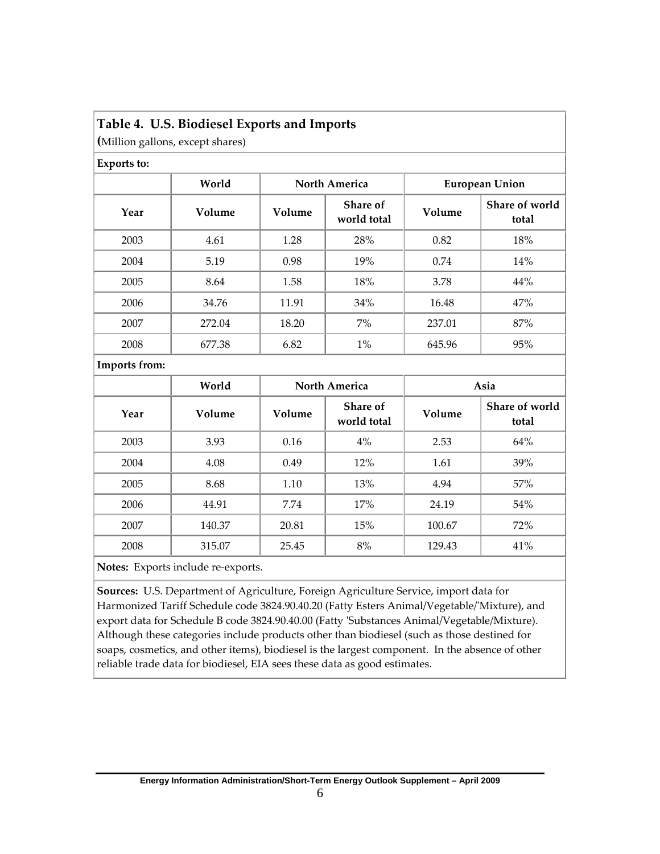### **Table 4. U.S. Biodiesel Exports and Imports**

**(**Million gallons, except shares)

|               | World  | <b>North America</b> |                         | <b>European Union</b> |                         |  |
|---------------|--------|----------------------|-------------------------|-----------------------|-------------------------|--|
| Year          | Volume | Volume               | Share of<br>world total | Volume                | Share of world<br>total |  |
| 2003          | 4.61   | 1.28                 | 28%                     | 0.82                  | 18%                     |  |
| 2004          | 5.19   | 0.98                 | 19%                     | 0.74                  | 14%                     |  |
| 2005          | 8.64   | 1.58                 | 18%                     | 3.78                  | 44%                     |  |
| 2006          | 34.76  | 11.91                | 34%                     | 16.48                 | 47%                     |  |
| 2007          | 272.04 | 18.20                | $7\%$                   | 237.01                | 87%                     |  |
| 2008          | 677.38 | 6.82                 | $1\%$                   | 645.96                | 95%                     |  |
| Imports from: |        |                      |                         |                       |                         |  |
|               | World  | <b>North America</b> |                         |                       | Asia                    |  |
| Year          | Volume | Volume               | Share of<br>world total | Volume                | Share of world<br>total |  |

| 2003                                                            | 3.93   | 0.16  | 4%  | 2.53   | 64% |  |
|-----------------------------------------------------------------|--------|-------|-----|--------|-----|--|
| 2004                                                            | 4.08   | 0.49  | 12% | 1.61   | 39% |  |
| 2005                                                            | 8.68   | 1.10  | 13% | 4.94   | 57% |  |
| 2006                                                            | 44.91  | 7.74  | 17% | 24.19  | 54% |  |
| 2007                                                            | 140.37 | 20.81 | 15% | 100.67 | 72% |  |
| 2008                                                            | 315.07 | 25.45 | 8%  | 129.43 | 41% |  |
| $\mathbf{M}$ . The set of $\mathbf{M}$ is a set of $\mathbf{M}$ |        |       |     |        |     |  |

**Notes:** Exports include re‐exports.

**Sources:** U.S. Department of Agriculture, Foreign Agriculture Service, import data for Harmonized Tariff Schedule code 3824.90.40.20 (Fatty Esters Animal/Vegetable/ʹMixture), and export data for Schedule B code 3824.90.40.00 (Fatty 'Substances Animal/Vegetable/Mixture). Although these categories include products other than biodiesel (such as those destined for soaps, cosmetics, and other items), biodiesel is the largest component. In the absence of other reliable trade data for biodiesel, EIA sees these data as good estimates.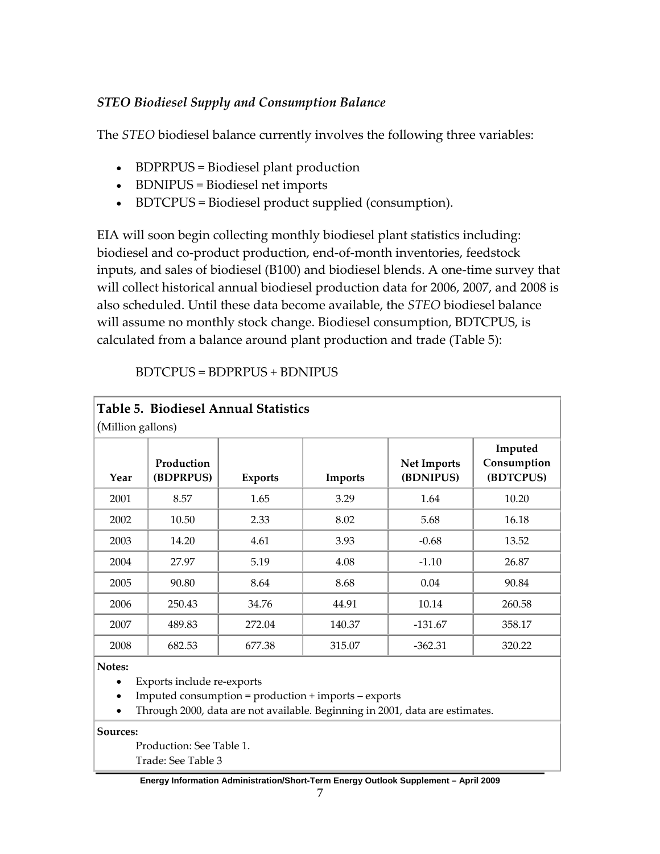# *STEO Biodiesel Supply and Consumption Balance*

The *STEO* biodiesel balance currently involves the following three variables:

- BDPRPUS = Biodiesel plant production
- BDNIPUS = Biodiesel net imports
- BDTCPUS = Biodiesel product supplied (consumption).

EIA will soon begin collecting monthly biodiesel plant statistics including: biodiesel and co‐product production, end‐of‐month inventories, feedstock inputs, and sales of biodiesel (B100) and biodiesel blends. A one‐time survey that will collect historical annual biodiesel production data for 2006, 2007, and 2008 is also scheduled. Until these data become available, the *STEO* biodiesel balance will assume no monthly stock change. Biodiesel consumption, BDTCPUS, is calculated from a balance around plant production and trade (Table 5):

| Table 5. Biodiesel Annual Statistics |                         |                |         |                                 |                                     |  |
|--------------------------------------|-------------------------|----------------|---------|---------------------------------|-------------------------------------|--|
| (Million gallons)                    |                         |                |         |                                 |                                     |  |
| Year                                 | Production<br>(BDPRPUS) | <b>Exports</b> | Imports | <b>Net Imports</b><br>(BDNIPUS) | Imputed<br>Consumption<br>(BDTCPUS) |  |
| 2001                                 | 8.57                    | 1.65           | 3.29    | 1.64                            | 10.20                               |  |
| 2002                                 | 10.50                   | 2.33           | 8.02    | 5.68                            | 16.18                               |  |
| 2003                                 | 14.20                   | 4.61           | 3.93    | $-0.68$                         | 13.52                               |  |
| 2004                                 | 27.97                   | 5.19           | 4.08    | $-1.10$                         | 26.87                               |  |
| 2005                                 | 90.80                   | 8.64           | 8.68    | 0.04                            | 90.84                               |  |
| 2006                                 | 250.43                  | 34.76          | 44.91   | 10.14                           | 260.58                              |  |
| 2007                                 | 489.83                  | 272.04         | 140.37  | $-131.67$                       | 358.17                              |  |
| 2008                                 | 682.53                  | 677.38         | 315.07  | $-362.31$                       | 320.22                              |  |

BDTCPUS = BDPRPUS + BDNIPUS

**Notes:**

• Exports include re‐exports

- Imputed consumption = production + imports exports
- Through 2000, data are not available. Beginning in 2001, data are estimates.

**Sources:**

Production: See Table 1. Trade: See Table 3